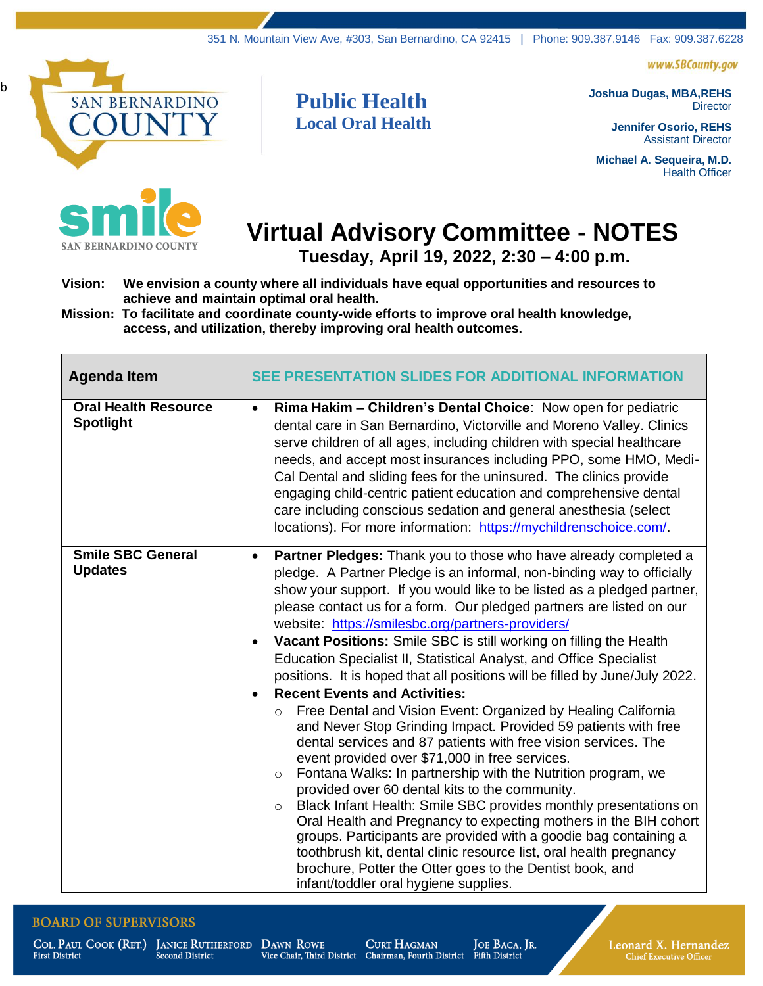www.SBCounty.gov



b



**Public Health Local Oral Health** **Joshua Dugas, MBA,REHS Director** 

> **Jennifer Osorio, REHS** Assistant Director

**Michael A. Sequeira, M.D.** Health Officer

## **Virtual Advisory Committee - NOTES**

 **Tuesday, April 19, 2022, 2:30 – 4:00 p.m.**

**Vision: We envision a county where all individuals have equal opportunities and resources to achieve and maintain optimal oral health.**

**Mission: To facilitate and coordinate county-wide efforts to improve oral health knowledge, access, and utilization, thereby improving oral health outcomes.**

| <b>Agenda Item</b>                              | <b>SEE PRESENTATION SLIDES FOR ADDITIONAL INFORMATI</b>                                                                                                                                                                                                                                                                                                                                                                                                                                                                                                                                                                                                                                                                                                                                                                                                                                                                                                                                                                                                                                                                                                                                                                                                                                                                                                                                                                                           |
|-------------------------------------------------|---------------------------------------------------------------------------------------------------------------------------------------------------------------------------------------------------------------------------------------------------------------------------------------------------------------------------------------------------------------------------------------------------------------------------------------------------------------------------------------------------------------------------------------------------------------------------------------------------------------------------------------------------------------------------------------------------------------------------------------------------------------------------------------------------------------------------------------------------------------------------------------------------------------------------------------------------------------------------------------------------------------------------------------------------------------------------------------------------------------------------------------------------------------------------------------------------------------------------------------------------------------------------------------------------------------------------------------------------------------------------------------------------------------------------------------------------|
| <b>Oral Health Resource</b><br><b>Spotlight</b> | Rima Hakim - Children's Dental Choice: Now open for pediatric<br>$\bullet$<br>dental care in San Bernardino, Victorville and Moreno Valley. Clinics<br>serve children of all ages, including children with special healthcare<br>needs, and accept most insurances including PPO, some HMO, Medi-<br>Cal Dental and sliding fees for the uninsured. The clinics provide<br>engaging child-centric patient education and comprehensive dental<br>care including conscious sedation and general anesthesia (select<br>locations). For more information: https://mychildrenschoice.com/.                                                                                                                                                                                                                                                                                                                                                                                                                                                                                                                                                                                                                                                                                                                                                                                                                                                             |
| <b>Smile SBC General</b><br><b>Updates</b>      | Partner Pledges: Thank you to those who have already completed a<br>$\bullet$<br>pledge. A Partner Pledge is an informal, non-binding way to officially<br>show your support. If you would like to be listed as a pledged partner,<br>please contact us for a form. Our pledged partners are listed on our<br>website: https://smilesbc.org/partners-providers/<br>Vacant Positions: Smile SBC is still working on filling the Health<br>$\bullet$<br>Education Specialist II, Statistical Analyst, and Office Specialist<br>positions. It is hoped that all positions will be filled by June/July 2022.<br><b>Recent Events and Activities:</b><br>Free Dental and Vision Event: Organized by Healing California<br>$\circ$<br>and Never Stop Grinding Impact. Provided 59 patients with free<br>dental services and 87 patients with free vision services. The<br>event provided over \$71,000 in free services.<br>Fontana Walks: In partnership with the Nutrition program, we<br>$\circ$<br>provided over 60 dental kits to the community.<br>Black Infant Health: Smile SBC provides monthly presentations on<br>$\circ$<br>Oral Health and Pregnancy to expecting mothers in the BIH cohort<br>groups. Participants are provided with a goodie bag containing a<br>toothbrush kit, dental clinic resource list, oral health pregnancy<br>brochure, Potter the Otter goes to the Dentist book, and<br>infant/toddler oral hygiene supplies. |

## **BOARD OF SUPERVISORS**

**First District** 

**CURT HAGMAN** Vice Chair, Third District Chairman, Fourth District Fifth District

JOE BACA, JR.

Leonard X. Hernandez **Chief Executive Officer**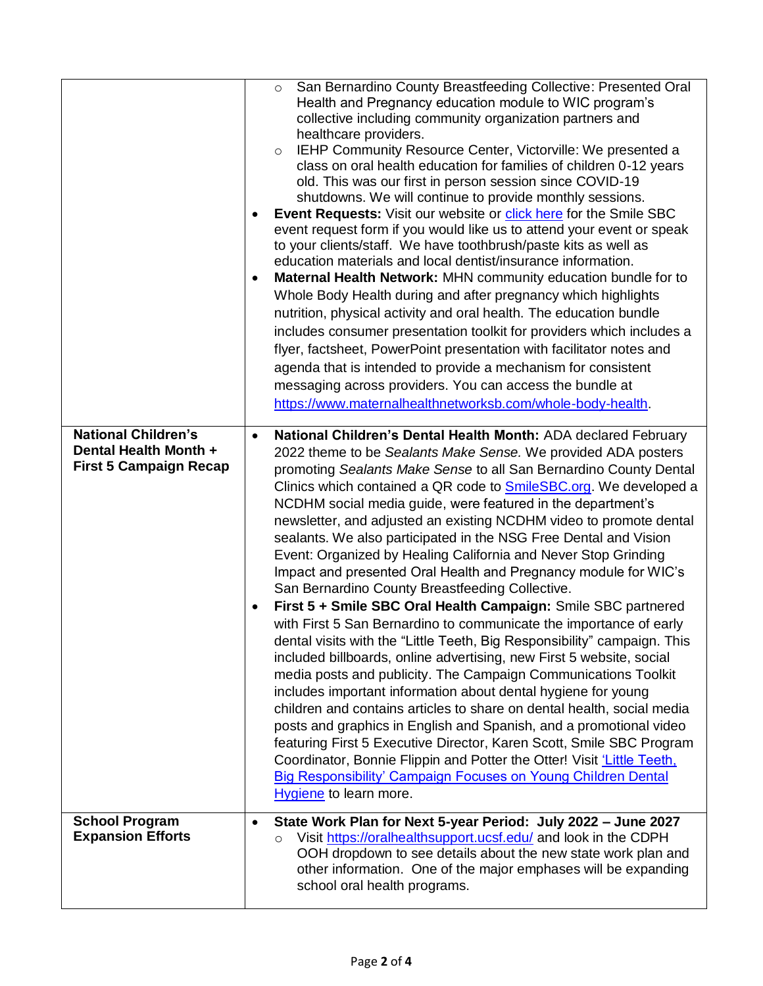|                                                                                      | ٠<br>$\bullet$         | San Bernardino County Breastfeeding Collective: Presented Oral<br>$\circ$<br>Health and Pregnancy education module to WIC program's<br>collective including community organization partners and<br>healthcare providers.<br>IEHP Community Resource Center, Victorville: We presented a<br>$\circ$<br>class on oral health education for families of children 0-12 years<br>old. This was our first in person session since COVID-19<br>shutdowns. We will continue to provide monthly sessions.<br><b>Event Requests:</b> Visit our website or click here for the Smile SBC<br>event request form if you would like us to attend your event or speak<br>to your clients/staff. We have toothbrush/paste kits as well as<br>education materials and local dentist/insurance information.<br>Maternal Health Network: MHN community education bundle for to<br>Whole Body Health during and after pregnancy which highlights<br>nutrition, physical activity and oral health. The education bundle<br>includes consumer presentation toolkit for providers which includes a<br>flyer, factsheet, PowerPoint presentation with facilitator notes and<br>agenda that is intended to provide a mechanism for consistent<br>messaging across providers. You can access the bundle at<br>https://www.maternalhealthnetworksb.com/whole-body-health. |
|--------------------------------------------------------------------------------------|------------------------|-----------------------------------------------------------------------------------------------------------------------------------------------------------------------------------------------------------------------------------------------------------------------------------------------------------------------------------------------------------------------------------------------------------------------------------------------------------------------------------------------------------------------------------------------------------------------------------------------------------------------------------------------------------------------------------------------------------------------------------------------------------------------------------------------------------------------------------------------------------------------------------------------------------------------------------------------------------------------------------------------------------------------------------------------------------------------------------------------------------------------------------------------------------------------------------------------------------------------------------------------------------------------------------------------------------------------------------------------|
| <b>National Children's</b><br>Dental Health Month +<br><b>First 5 Campaign Recap</b> | $\bullet$<br>$\bullet$ | National Children's Dental Health Month: ADA declared February<br>2022 theme to be Sealants Make Sense. We provided ADA posters<br>promoting Sealants Make Sense to all San Bernardino County Dental<br>Clinics which contained a QR code to <b>SmileSBC.org</b> . We developed a<br>NCDHM social media guide, were featured in the department's<br>newsletter, and adjusted an existing NCDHM video to promote dental<br>sealants. We also participated in the NSG Free Dental and Vision<br>Event: Organized by Healing California and Never Stop Grinding<br>Impact and presented Oral Health and Pregnancy module for WIC's<br>San Bernardino County Breastfeeding Collective.<br>First 5 + Smile SBC Oral Health Campaign: Smile SBC partnered<br>with First 5 San Bernardino to communicate the importance of early<br>dental visits with the "Little Teeth, Big Responsibility" campaign. This<br>included billboards, online advertising, new First 5 website, social<br>media posts and publicity. The Campaign Communications Toolkit<br>includes important information about dental hygiene for young                                                                                                                                                                                                                              |
|                                                                                      |                        | children and contains articles to share on dental health, social media<br>posts and graphics in English and Spanish, and a promotional video<br>featuring First 5 Executive Director, Karen Scott, Smile SBC Program<br>Coordinator, Bonnie Flippin and Potter the Otter! Visit 'Little Teeth,<br><b>Big Responsibility' Campaign Focuses on Young Children Dental</b><br>Hygiene to learn more.                                                                                                                                                                                                                                                                                                                                                                                                                                                                                                                                                                                                                                                                                                                                                                                                                                                                                                                                              |
| <b>School Program</b><br><b>Expansion Efforts</b>                                    | $\bullet$              | State Work Plan for Next 5-year Period: July 2022 - June 2027<br>Visit https://oralhealthsupport.ucsf.edu/ and look in the CDPH<br>$\circ$<br>OOH dropdown to see details about the new state work plan and<br>other information. One of the major emphases will be expanding<br>school oral health programs.                                                                                                                                                                                                                                                                                                                                                                                                                                                                                                                                                                                                                                                                                                                                                                                                                                                                                                                                                                                                                                 |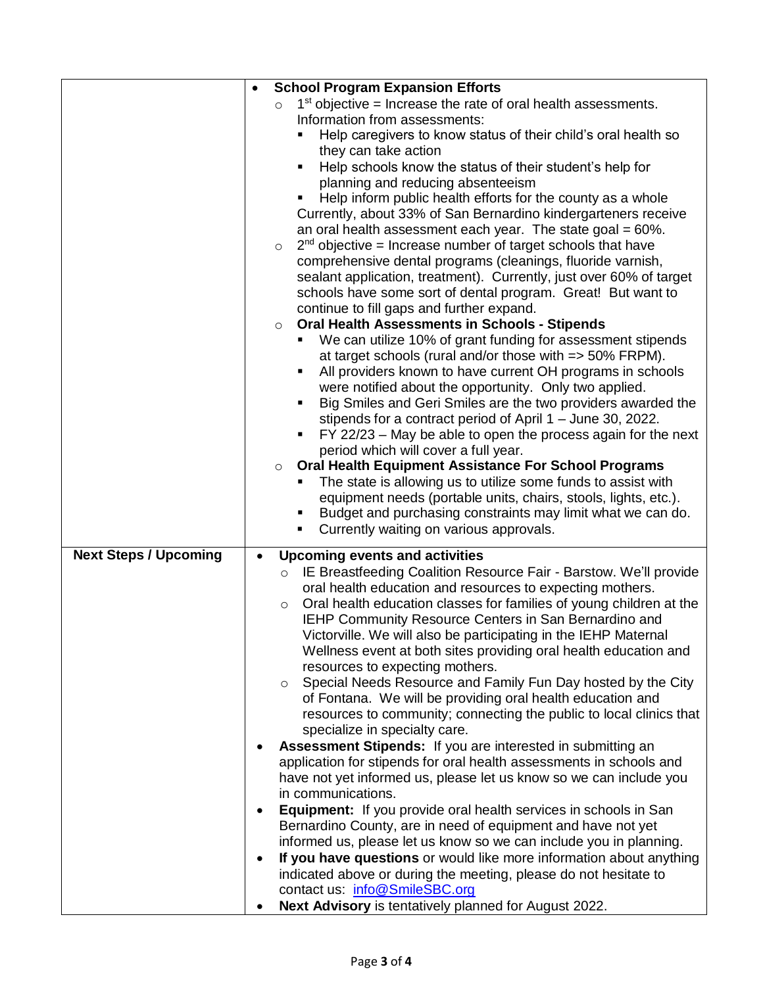|                              | $\bullet$ | <b>School Program Expansion Efforts</b>                                        |
|------------------------------|-----------|--------------------------------------------------------------------------------|
|                              |           | $1st$ objective = Increase the rate of oral health assessments.<br>$\circ$     |
|                              |           | Information from assessments:                                                  |
|                              |           | Help caregivers to know status of their child's oral health so                 |
|                              |           | they can take action                                                           |
|                              |           | Help schools know the status of their student's help for<br>٠                  |
|                              |           | planning and reducing absenteeism                                              |
|                              |           | Help inform public health efforts for the county as a whole<br>٠               |
|                              |           | Currently, about 33% of San Bernardino kindergarteners receive                 |
|                              |           | an oral health assessment each year. The state goal = $60\%$ .                 |
|                              |           | $2nd$ objective = Increase number of target schools that have<br>$\circ$       |
|                              |           | comprehensive dental programs (cleanings, fluoride varnish,                    |
|                              |           | sealant application, treatment). Currently, just over 60% of target            |
|                              |           | schools have some sort of dental program. Great! But want to                   |
|                              |           | continue to fill gaps and further expand.                                      |
|                              |           | <b>Oral Health Assessments in Schools - Stipends</b><br>$\circ$                |
|                              |           | We can utilize 10% of grant funding for assessment stipends                    |
|                              |           | at target schools (rural and/or those with => 50% FRPM).                       |
|                              |           | All providers known to have current OH programs in schools<br>٠                |
|                              |           | were notified about the opportunity. Only two applied.                         |
|                              |           | Big Smiles and Geri Smiles are the two providers awarded the<br>٠              |
|                              |           | stipends for a contract period of April 1 - June 30, 2022.                     |
|                              |           | FY 22/23 – May be able to open the process again for the next<br>٠             |
|                              |           | period which will cover a full year.                                           |
|                              |           | <b>Oral Health Equipment Assistance For School Programs</b><br>$\circ$         |
|                              |           | The state is allowing us to utilize some funds to assist with                  |
|                              |           | equipment needs (portable units, chairs, stools, lights, etc.).                |
|                              |           | Budget and purchasing constraints may limit what we can do.<br>٠               |
|                              |           | Currently waiting on various approvals.<br>٠                                   |
| <b>Next Steps / Upcoming</b> | $\bullet$ | <b>Upcoming events and activities</b>                                          |
|                              |           | IE Breastfeeding Coalition Resource Fair - Barstow. We'll provide<br>$\circ$   |
|                              |           | oral health education and resources to expecting mothers.                      |
|                              |           | Oral health education classes for families of young children at the<br>$\circ$ |
|                              |           | IEHP Community Resource Centers in San Bernardino and                          |
|                              |           | Victorville. We will also be participating in the IEHP Maternal                |
|                              |           | Wellness event at both sites providing oral health education and               |
|                              |           | resources to expecting mothers.                                                |
|                              |           | Special Needs Resource and Family Fun Day hosted by the City<br>$\circ$        |
|                              |           | of Fontana. We will be providing oral health education and                     |
|                              |           | resources to community; connecting the public to local clinics that            |
|                              |           | specialize in specialty care.                                                  |
|                              |           | Assessment Stipends: If you are interested in submitting an                    |
|                              |           | application for stipends for oral health assessments in schools and            |
|                              |           | have not yet informed us, please let us know so we can include you             |
|                              |           | in communications.                                                             |
|                              | $\bullet$ | <b>Equipment:</b> If you provide oral health services in schools in San        |
|                              |           | Bernardino County, are in need of equipment and have not yet                   |
|                              |           | informed us, please let us know so we can include you in planning.             |
|                              | $\bullet$ | If you have questions or would like more information about anything            |
|                              |           | indicated above or during the meeting, please do not hesitate to               |
|                              |           | contact us: info@SmileSBC.org                                                  |
|                              |           | Next Advisory is tentatively planned for August 2022.                          |